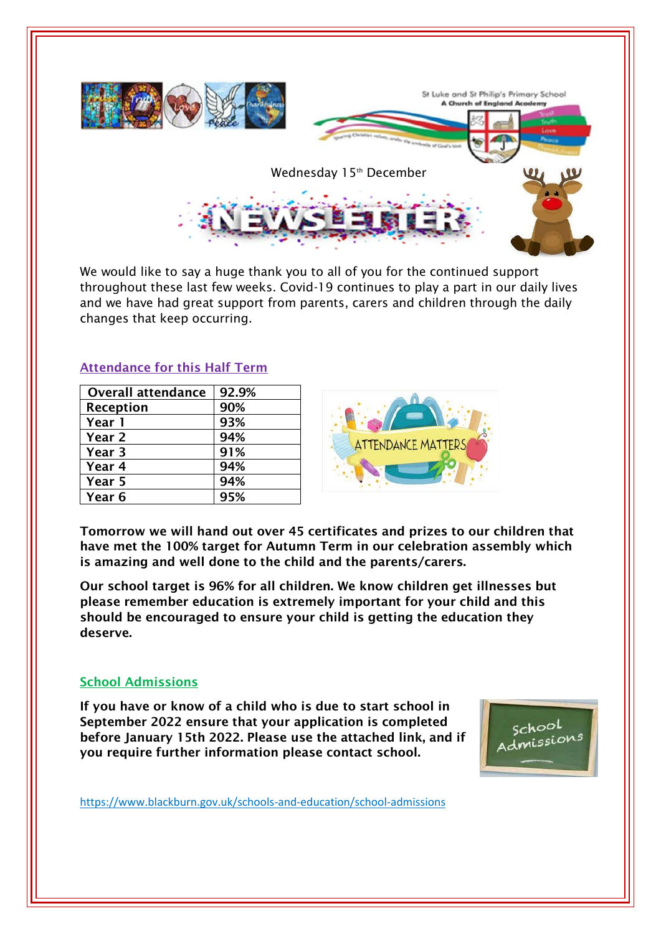

We would like to say a huge thank you to all of you for the continued support throughout these last few weeks. Covid-19 continues to play a part in our daily lives and we have had great support from parents, carers and children through the daily changes that keep occurring.

## **Attendance for this Half Term**

| <b>Overall attendance</b> | 92.9% |
|---------------------------|-------|
| Reception                 | 90%   |
| Year 1                    | 93%   |
| Year 2                    | 94%   |
| Year 3                    | 91%   |
| Year 4                    | 94%   |
| Year 5                    | 94%   |
| Year 6                    | 95%   |



**Tomorrow we will hand out over 45 certificates and prizes to our children that have met the 100% target for Autumn Term in our celebration assembly which is amazing and well done to the child and the parents/carers.**

**Our school target is 96% for all children. We know children get illnesses but please remember education is extremely important for your child and this should be encouraged to ensure your child is getting the education they deserve.**

#### **School Admissions**

**If you have or know of a child who is due to start school in September 2022 ensure that your application is completed before January 15th 2022. Please use the attached link, and if you require further information please contact school.**



https://www.blackburn.gov.uk/schools-and-education/school-admissions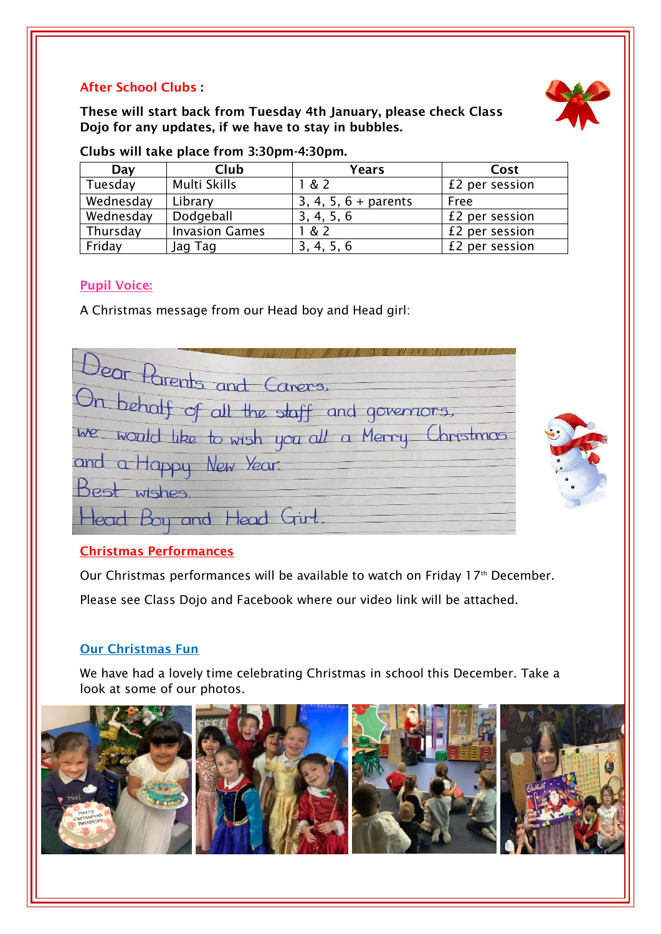# **After School Clubs :**

**These will start back from Tuesday 4th January, please check Class Dojo for any updates, if we have to stay in bubbles.** 



| Day       | Club                  | <b>Years</b>           | Cost           |
|-----------|-----------------------|------------------------|----------------|
| Tuesday   | Multi Skills          | & 2                    | £2 per session |
| Wednesday | Library               | $3, 4, 5, 6 + parents$ | Free           |
| Wednesday | Dodgeball             | 3, 4, 5, 6             | £2 per session |
| Thursday  | <b>Invasion Games</b> | .& 2                   | £2 per session |
| Friday    | Jag Tag               | 3, 4, 5, 6             | £2 per session |

**Clubs will take place from 3:30pm-4:30pm.**

## **Pupil Voice:**

A Christmas message from our Head boy and Head girl:

Jean Parents and Carers, On behalf of all the staff and governors, We would like to wish you all a Merry Christmas and a Happy New Year. wishes Head Boy and Head Girl.

# **Christmas Performances**

Our Christmas performances will be available to watch on Friday 17<sup>th</sup> December. Please see Class Dojo and Facebook where our video link will be attached.

# **Our Christmas Fun**

We have had a lovely time celebrating Christmas in school this December. Take a look at some of our photos.